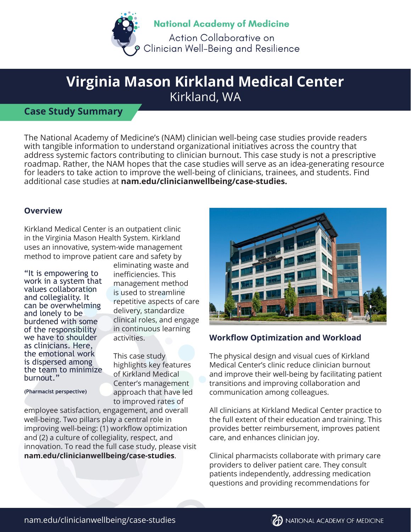

# **Virginia Mason Kirkland Medical Center** Kirkland, WA

## **Case Study Summary**

The National Academy of Medicine's (NAM) clinician well-being case studies provide readers with tangible information to understand organizational initiatives across the country that address systemic factors contributing to clinician burnout. This case study is not a prescriptive roadmap. Rather, the NAM hopes that the case studies will serve as an idea-generating resource for leaders to take action to improve the well-being of clinicians, trainees, and students. Find additional case studies at **nam.edu/clinicianwellbeing/case-studies.** 

### **Overview**

Kirkland Medical Center is an outpatient clinic in the Virginia Mason Health System. Kirkland uses an innovative, system-wide management method to improve patient care and safety by

"It is empowering to work in a system that values collaboration and collegiality. It can be overwhelming and lonely to be burdened with some of the responsibility we have to shoulder as clinicians. Here, the emotional work is dispersed among the team to minimize burnout."

eliminating waste and inefficiencies. This management method is used to streamline repetitive aspects of care delivery, standardize clinical roles, and engage in continuous learning activities.

This case study highlights key features of Kirkland Medical Center's management approach that have led to improved rates of

**(Pharmacist perspective)**

employee satisfaction, engagement, and overall well-being. Two pillars play a central role in improving well-being: (1) workflow optimization and (2) a culture of collegiality, respect, and innovation. To read the full case study, please visit **nam.edu/clinicianwellbeing/case-studies**.



### **Workflow Optimization and Workload**

The physical design and visual cues of Kirkland Medical Center's clinic reduce clinician burnout and improve their well-being by facilitating patient transitions and improving collaboration and communication among colleagues.

All clinicians at Kirkland Medical Center practice to the full extent of their education and training. This provides better reimbursement, improves patient care, and enhances clinician joy.

Clinical pharmacists collaborate with primary care providers to deliver patient care. They consult patients independently, addressing medication questions and providing recommendations for